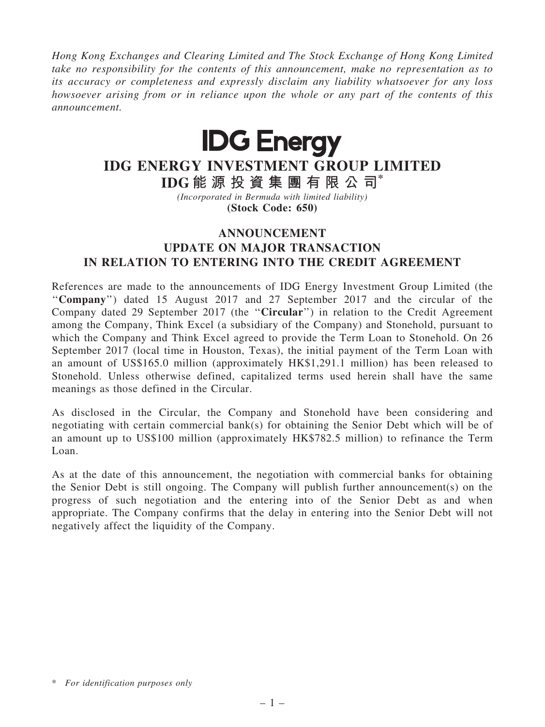Hong Kong Exchanges and Clearing Limited and The Stock Exchange of Hong Kong Limited take no responsibility for the contents of this announcement, make no representation as to its accuracy or completeness and expressly disclaim any liability whatsoever for any loss howsoever arising from or in reliance upon the whole or any part of the contents of this announcement.



## IDG ENERGY INVESTMENT GROUP LIMITED

IDG 能 源 投 資 集 團 有 限 公 司\* (Incorporated in Bermuda with limited liability)

(Stock Code: 650)

## ANNOUNCEMENT UPDATE ON MAJOR TRANSACTION IN RELATION TO ENTERING INTO THE CREDIT AGREEMENT

References are made to the announcements of IDG Energy Investment Group Limited (the ''Company'') dated 15 August 2017 and 27 September 2017 and the circular of the Company dated 29 September 2017 (the ''Circular'') in relation to the Credit Agreement among the Company, Think Excel (a subsidiary of the Company) and Stonehold, pursuant to which the Company and Think Excel agreed to provide the Term Loan to Stonehold. On 26 September 2017 (local time in Houston, Texas), the initial payment of the Term Loan with an amount of US\$165.0 million (approximately HK\$1,291.1 million) has been released to Stonehold. Unless otherwise defined, capitalized terms used herein shall have the same meanings as those defined in the Circular.

As disclosed in the Circular, the Company and Stonehold have been considering and negotiating with certain commercial bank(s) for obtaining the Senior Debt which will be of an amount up to US\$100 million (approximately HK\$782.5 million) to refinance the Term Loan.

As at the date of this announcement, the negotiation with commercial banks for obtaining the Senior Debt is still ongoing. The Company will publish further announcement(s) on the progress of such negotiation and the entering into of the Senior Debt as and when appropriate. The Company confirms that the delay in entering into the Senior Debt will not negatively affect the liquidity of the Company.

<sup>\*</sup> For identification purposes only